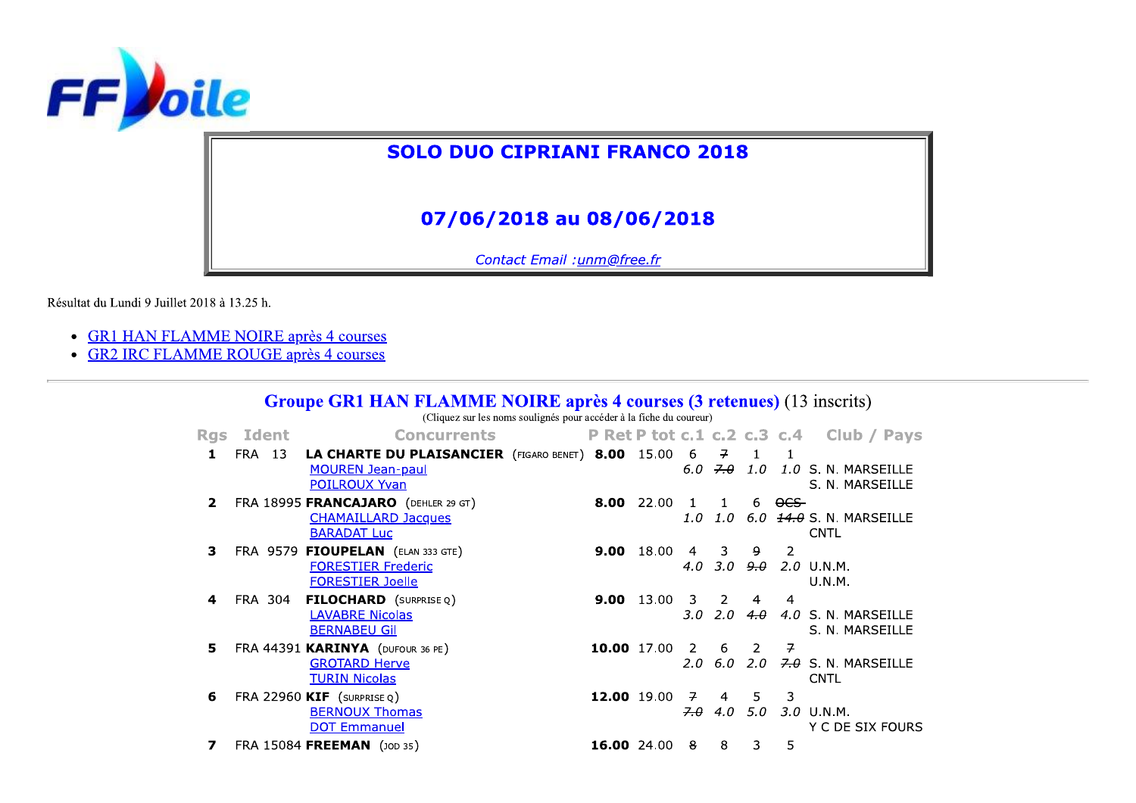

## **SOLO DUO CIPRIANI FRANCO 2018**

## 07/06/2018 au 08/06/2018

Contact Email : unm@free.fr

 $\sim$   $\sim$   $\sim$   $\sim$   $\sim$ 

Résultat du Lundi 9 Juillet 2018 à 13.25 h.

- GR1 HAN FLAMME NOIRE après 4 courses
- GR2 IRC FLAMME ROUGE après 4 courses

| <b>Groupe GRI HAN FLAMME NOIRE après 4 courses (3 retenues)</b> (13 mscrits) |         |                                                                                                         |                                                                     |                                    |       |                                 |                              |                                 |                |                                             |
|------------------------------------------------------------------------------|---------|---------------------------------------------------------------------------------------------------------|---------------------------------------------------------------------|------------------------------------|-------|---------------------------------|------------------------------|---------------------------------|----------------|---------------------------------------------|
|                                                                              |         |                                                                                                         | (Cliquez sur les noms soulignés pour accéder à la fiche du coureur) |                                    |       |                                 |                              |                                 |                |                                             |
| <b>Rgs</b>                                                                   | Ident   | <b>Concurrents</b>                                                                                      |                                                                     | <b>P Ret P tot c.1 c.2 c.3 c.4</b> |       |                                 |                              |                                 |                | Club / Pays                                 |
| 1                                                                            | FRA 13  | LA CHARTE DU PLAISANCIER (FIGARO BENET) 8.00 15.00 6<br><b>MOUREN Jean-paul</b><br><b>POILROUX Yvan</b> |                                                                     |                                    |       | 6.0                             | $\overline{f}$<br>7.0        | $\overline{1}$                  |                | 1.0 1.0 S. N. MARSEILLE<br>S. N. MARSEILLE  |
| 2                                                                            |         | FRA 18995 FRANCAJARO (DEHLER 29 GT)<br><b>CHAMAILLARD Jacques</b><br><b>BARADAT Luc</b>                 |                                                                     | 8.00                               | 22.00 | $\mathbf{1}$<br>1.0             | $\mathbf{1}$<br>1.0          | 6                               | <del>OCS</del> | $6.0$ $14.0$ S. N. MARSEILLE<br><b>CNTL</b> |
| з                                                                            |         | FRA 9579 FIOUPELAN (ELAN 333 GTE)<br><b>FORESTIER Frederic</b><br><b>FORESTIER Joelle</b>               |                                                                     | 9.00                               | 18.00 | $\overline{4}$<br>4.0           | 3<br>3.O                     | 9.                              | 2              | <del>9.0</del> 2.0 U.N.M.<br>U.N.M.         |
| 4                                                                            | FRA 304 | <b>FILOCHARD</b> (SURPRISE Q)<br><b>LAVABRE Nicolas</b><br><b>BERNABEU Gil</b>                          |                                                                     | 9.00                               | 13.00 | $\overline{\mathbf{3}}$<br>3.O  | $2^{\circ}$<br>$2.0^{\circ}$ | $\overline{4}$<br>4.0           | 4              | 4.0 S. N. MARSEILLE<br>S. N. MARSEILLE      |
| 5                                                                            |         | FRA 44391 KARINYA (DUFOUR 36 PE)<br><b>GROTARD Herve</b><br><b>TURIN Nicolas</b>                        |                                                                     | 10.00 17.00                        |       | $\overline{2}$<br>$2.0^{\circ}$ | 6<br>6.0                     | $\overline{2}$<br>$2.0^{\circ}$ | 구              | $7.0$ S. N. MARSEILLE<br><b>CNTL</b>        |
| 6                                                                            |         | FRA 22960 $KIF$ (surprise $Q$ )<br><b>BERNOUX Thomas</b><br><b>DOT Emmanuel</b>                         |                                                                     | 12.00 19.00                        |       | $\overline{z}$<br>7.0           | $\overline{4}$<br>4.0        | 5<br>5.0                        | 3              | 3.0 U.N.M.<br>Y C DE SIX FOURS              |
| 7                                                                            |         | FRA 15084 FREEMAN (JOD 35)                                                                              |                                                                     | 16.00 24.00                        |       | 8                               | 8                            | 3                               | 5              |                                             |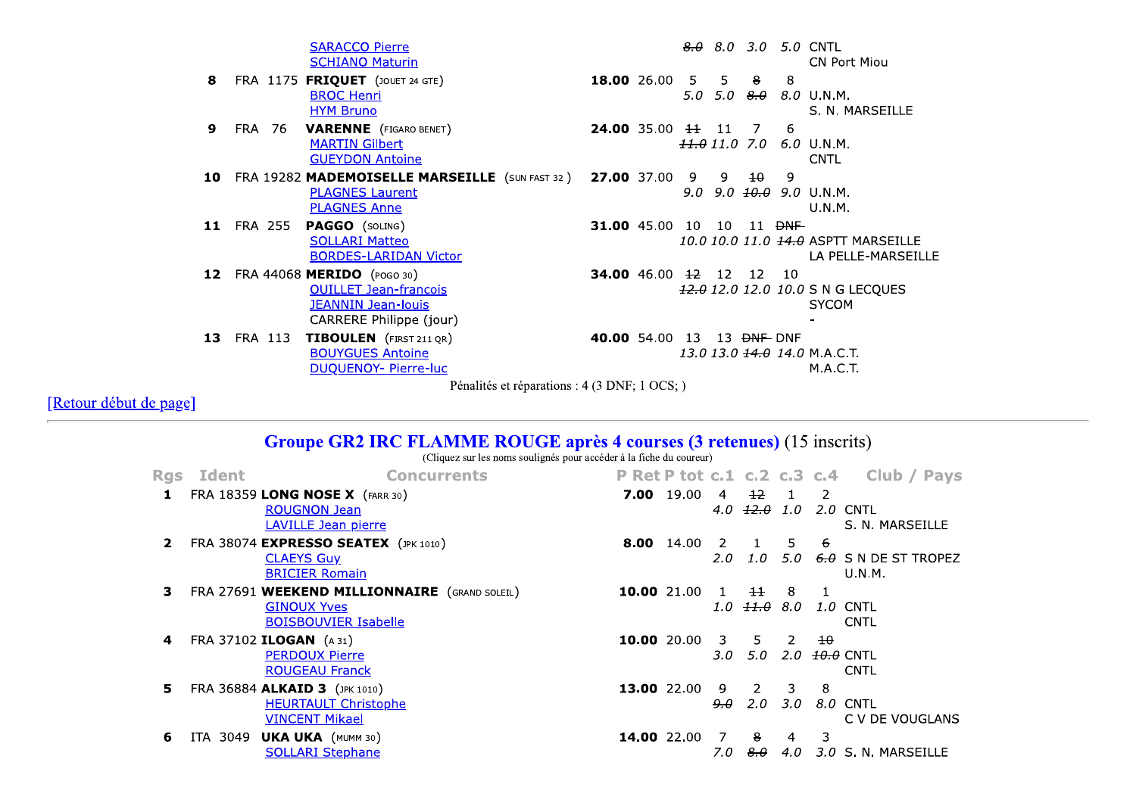**SARACCO Pierre**  $8.0$  8.0 3.0 5.0 CNTL **SCHIANO Maturin** CN Port Miou 8 FRA 1175 FRIQUET (JOUET 24 GTE) 18.00 26.00 5  $5<sup>1</sup>$  $8$  $\mathbf{8}$ **BROC Henri** 5.0 5.0  $8.0$  8.0 U.N.M. **HYM Bruno** S. N. MARSEILLE FRA 76 VARENNE (FIGARO BENET) 6 9 **24.00** 35.00  $\frac{11}{11}$  11 7 **MARTIN Gilbert**  $\frac{11.0}{11.0}$  7.0 6.0 U.N.M. **GUEYDON Antoine CNTL** 10 FRA 19282 MADEMOISELLE MARSEILLE (SUN FAST 32) **27.00** 37.00 9  $\overline{9}$  $\pm$  $\overline{q}$ **PLAGNES Laurent** 9.0 9.0  $\overline{40.0}$  9.0 U.N.M. **PLAGNES Anne** U.N.M. 11 FRA 255 PAGGO (SOLING) 31.00 45.00 10 10 11 <del>DNF</del> **SOLLARI Matteo** 10.0 10.0 11.0 +4.0 ASPTT MARSEILLE **BORDES-LARIDAN Victor** LA PELLE-MARSEILLE 12 FRA 44068 MERIDO (POGO 30) **34.00** 46.00 <del>12</del> 12 12 10 **OUILLET Jean-francois** 42.0 12.0 12.0 10.0 S N G LECQUES **JEANNIN Jean-louis SYCOM** CARRERE Philippe (jour) 13 FRA 113 TIBOULEN (FIRST 211 QR) 40.00 54.00 13 13 <del>DNF</del> DNF **BOUYGUES Antoine** 13.0 13.0 <del>14.0</del> 14.0 M.A.C.T. **DUOUENOY- Pierre-luc M.A.C.T.** 

Pénalités et réparations : 4 (3 DNF; 1 OCS; )

[Retour début de page]

 $\sim$   $\sim$ 

## **Groupe GR2 IRC FLAMME ROUGE après 4 courses (3 retenues) (15 inscrits)**

(Cliquez sur les noms soulignés pour accéder à la fiche du coureur)

| <b>Rgs</b>   | Ident    | <b>Concurrents</b>                                     |             |                   |                       |                             |                            |                            | P Ret P tot c.1 c.2 c.3 c.4 Club / Pays |
|--------------|----------|--------------------------------------------------------|-------------|-------------------|-----------------------|-----------------------------|----------------------------|----------------------------|-----------------------------------------|
| 1            |          | FRA 18359 LONG NOSE X (FARR 30)<br><b>ROUGNON Jean</b> |             | <b>7.00</b> 19.00 | $\overline{4}$<br>4.0 | $+2$<br><del>12.0</del> 1.0 |                            | $\overline{\phantom{0}}$ 2 | 2.0 CNTL                                |
|              |          | <b>LAVILLE Jean pierre</b>                             |             |                   |                       |                             |                            |                            | S. N. MARSEILLE                         |
| $\mathbf{2}$ |          | FRA 38074 EXPRESSO SEATEX (JPK 1010)                   |             | <b>8.00</b> 14.00 | -2                    | $\mathbf{1}$                | 5.                         | -6                         |                                         |
|              |          | <b>CLAEYS Guy</b><br><b>BRICIER Romain</b>             |             |                   | 2.0                   | 1.0                         | 5.0                        |                            | 6.0 S N DE ST TROPEZ<br><b>U.N.M.</b>   |
| 3            |          | FRA 27691 WEEKEND MILLIONNAIRE (GRAND SOLEIL)          | 10.00 21.00 |                   | $\mathbf{1}$          | $\pm$                       | 8                          |                            |                                         |
|              |          | <b>GINOUX Yves</b><br><b>BOISBOUVIER Isabelle</b>      |             |                   | 1.0                   | <del>11.θ</del>             | 8.0                        |                            | 1.0 CNTL<br><b>CNTL</b>                 |
| 4            |          | FRA 37102 ILOGAN (A 31)                                | 10.00 20.00 |                   | 3                     | 5                           | $\overline{\phantom{a}}$ 2 | $\pm$ 0                    |                                         |
|              |          | <b>PERDOUX Pierre</b><br><b>ROUGEAU Franck</b>         |             |                   | 3.O                   | 5.0                         | 2.0 <sub>2</sub>           |                            | <del>10.0</del> CNTL<br><b>CNTL</b>     |
| 5.           |          | FRA 36884 ALKAID 3 (JPK 1010)                          | 13.00 22.00 |                   | -9                    | $\overline{2}$              | 3                          | 8                          |                                         |
|              |          | <b>HEURTAULT Christophe</b><br><b>VINCENT Mikael</b>   |             |                   | <del>9.0</del>        | 2.0                         | 3.O                        |                            | 8.0 CNTL<br>C V DE VOUGLANS             |
| 6            | ITA 3049 | <b>UKA UKA</b> (MUMM 30)                               | 14.00 22.00 |                   | -7                    | 8                           | 4                          | 3                          |                                         |
|              |          | <b>SOLLARI Stephane</b>                                |             |                   | 7.0                   | 8.0                         | 4.0                        |                            | 3.0 S. N. MARSEILLE                     |